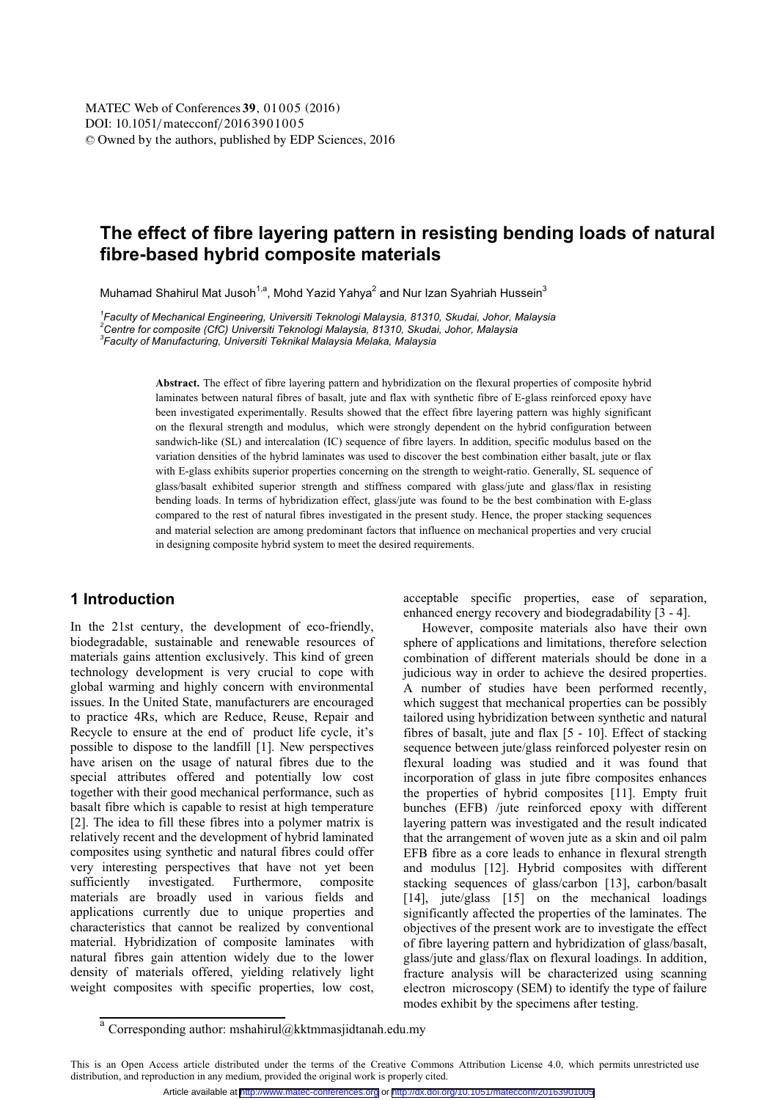# **The effect of fibre layering pattern in resisting bending loads of natural fibre-based hybrid composite materials**

Muhamad Shahirul Mat Jusoh<sup>1,a</sup>, Mohd Yazid Yahya<sup>2</sup> and Nur Izan Syahriah Hussein<sup>3</sup>

<sup>1</sup> Faculty of Mechanical Engineering, Universiti Teknologi Malaysia, 81310, Skudai, Johor, Malaysia<br><sup>2</sup>Centre for composite (CfC) Universiti Teknologi Malaysia, 81310, Skudai, Johor, Malaysia *Centre for composite (CfC) Universiti Teknologi Malaysia, 81310, Skudai, Johor, Malaysia 3 Faculty of Manufacturing, Universiti Teknikal Malaysia Melaka, Malaysia* 

> **Abstract.** The effect of fibre layering pattern and hybridization on the flexural properties of composite hybrid laminates between natural fibres of basalt, jute and flax with synthetic fibre of E-glass reinforced epoxy have been investigated experimentally. Results showed that the effect fibre layering pattern was highly significant on the flexural strength and modulus, which were strongly dependent on the hybrid configuration between sandwich-like (SL) and intercalation (IC) sequence of fibre layers. In addition, specific modulus based on the variation densities of the hybrid laminates was used to discover the best combination either basalt, jute or flax with E-glass exhibits superior properties concerning on the strength to weight-ratio. Generally, SL sequence of glass/basalt exhibited superior strength and stiffness compared with glass/jute and glass/flax in resisting bending loads. In terms of hybridization effect, glass/jute was found to be the best combination with E-glass compared to the rest of natural fibres investigated in the present study. Hence, the proper stacking sequences and material selection are among predominant factors that influence on mechanical properties and very crucial in designing composite hybrid system to meet the desired requirements.

## **1 Introduction**

In the 21st century, the development of eco-friendly, biodegradable, sustainable and renewable resources of materials gains attention exclusively. This kind of green technology development is very crucial to cope with global warming and highly concern with environmental issues. In the United State, manufacturers are encouraged to practice 4Rs, which are Reduce, Reuse, Repair and Recycle to ensure at the end of product life cycle, it's possible to dispose to the landfill [1]. New perspectives have arisen on the usage of natural fibres due to the special attributes offered and potentially low cost together with their good mechanical performance, such as basalt fibre which is capable to resist at high temperature [2]. The idea to fill these fibres into a polymer matrix is relatively recent and the development of hybrid laminated composites using synthetic and natural fibres could offer very interesting perspectives that have not yet been sufficiently investigated. Furthermore, composite materials are broadly used in various fields and applications currently due to unique properties and characteristics that cannot be realized by conventional material. Hybridization of composite laminates with natural fibres gain attention widely due to the lower density of materials offered, yielding relatively light weight composites with specific properties, low cost,

acceptable specific properties, ease of separation, enhanced energy recovery and biodegradability [3 - 4].

However, composite materials also have their own sphere of applications and limitations, therefore selection combination of different materials should be done in a judicious way in order to achieve the desired properties. A number of studies have been performed recently, which suggest that mechanical properties can be possibly tailored using hybridization between synthetic and natural fibres of basalt, jute and flax [5 - 10]. Effect of stacking sequence between jute/glass reinforced polyester resin on flexural loading was studied and it was found that incorporation of glass in jute fibre composites enhances the properties of hybrid composites [11]. Empty fruit bunches (EFB) /jute reinforced epoxy with different layering pattern was investigated and the result indicated that the arrangement of woven jute as a skin and oil palm EFB fibre as a core leads to enhance in flexural strength and modulus [12]. Hybrid composites with different stacking sequences of glass/carbon [13], carbon/basalt [14], jute/glass [15] on the mechanical loadings significantly affected the properties of the laminates. The objectives of the present work are to investigate the effect of fibre layering pattern and hybridization of glass/basalt, glass/jute and glass/flax on flexural loadings. In addition, fracture analysis will be characterized using scanning electron microscopy (SEM) to identify the type of failure modes exhibit by the specimens after testing.

<sup>&</sup>lt;sup>a</sup> Corresponding author: mshahirul@kktmmasjidtanah.edu.my

This is an Open Access article distributed under the terms of the Creative Commons Attribution License 4.0, which permits unrestricted use distribution, and reproduction in any medium, provided the original work is properly cited.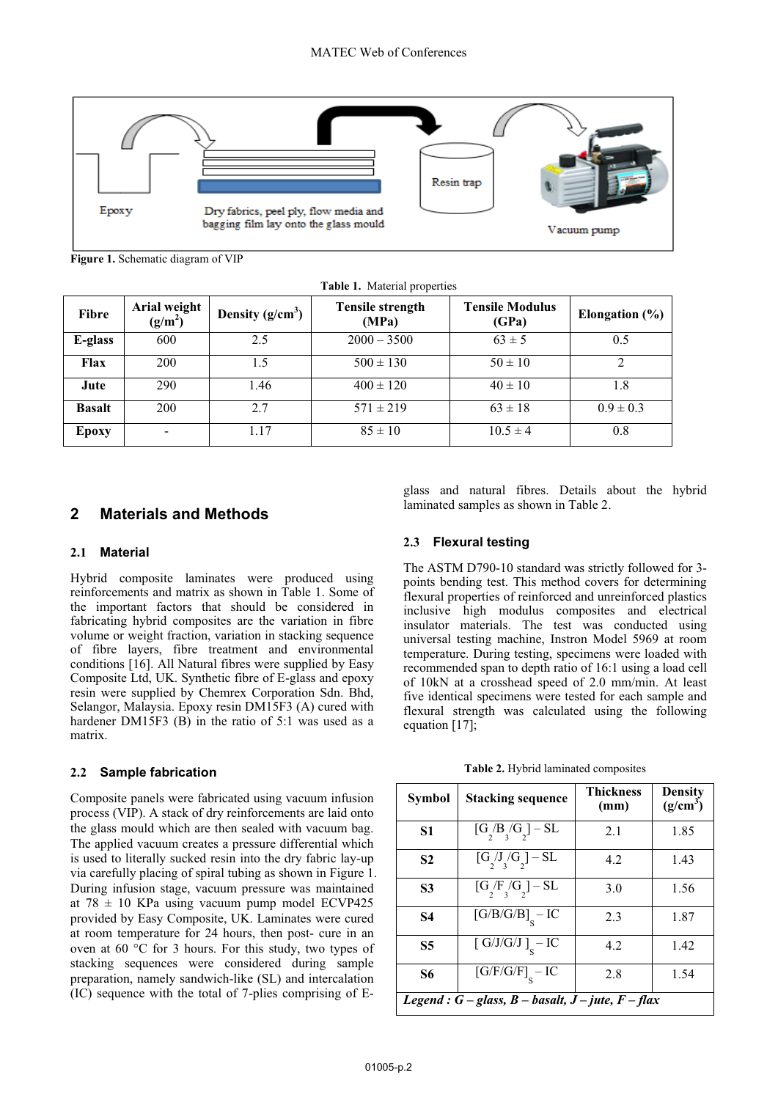

**Figure 1.** Schematic diagram of VIP

|               | <b>rapic 1.</b> indiction properties |                    |                                  |                                 |                    |
|---------------|--------------------------------------|--------------------|----------------------------------|---------------------------------|--------------------|
| Fibre         | Arial weight<br>$(g/m^2)$            | Density $(g/cm^3)$ | <b>Tensile strength</b><br>(MPa) | <b>Tensile Modulus</b><br>(GPa) | Elongation $(\% )$ |
| E-glass       | 600                                  | 2.5                | $2000 - 3500$                    | $63 \pm 5$                      | 0.5                |
| Flax          | 200                                  | 1.5                | $500 \pm 130$                    | $50 \pm 10$                     | 2                  |
| Jute          | 290                                  | 1.46               | $400 \pm 120$                    | $40 \pm 10$                     | 1.8                |
| <b>Basalt</b> | 200                                  | 2.7                | $571 \pm 219$                    | $63 \pm 18$                     | $0.9 \pm 0.3$      |
| Epoxy         | $\overline{\phantom{a}}$             | 1.17               | $85 \pm 10$                      | $10.5 \pm 4$                    | 0.8                |

**Table 1.** Material properties

# **2 Materials and Methods**

## **2.1 Material**

Hybrid composite laminates were produced using reinforcements and matrix as shown in Table 1. Some of the important factors that should be considered in fabricating hybrid composites are the variation in fibre volume or weight fraction, variation in stacking sequence of fibre layers, fibre treatment and environmental conditions [16]. All Natural fibres were supplied by Easy Composite Ltd, UK. Synthetic fibre of E-glass and epoxy resin were supplied by Chemrex Corporation Sdn. Bhd, Selangor, Malaysia. Epoxy resin DM15F3 (A) cured with hardener DM15F3 (B) in the ratio of 5:1 was used as a matrix.

## **2.2 Sample fabrication**

Composite panels were fabricated using vacuum infusion process (VIP). A stack of dry reinforcements are laid onto the glass mould which are then sealed with vacuum bag. The applied vacuum creates a pressure differential which is used to literally sucked resin into the dry fabric lay-up via carefully placing of spiral tubing as shown in Figure 1. During infusion stage, vacuum pressure was maintained at 78  $\pm$  10 KPa using vacuum pump model ECVP425 provided by Easy Composite, UK. Laminates were cured at room temperature for 24 hours, then post- cure in an oven at 60 °C for 3 hours. For this study, two types of stacking sequences were considered during sample preparation, namely sandwich-like (SL) and intercalation (IC) sequence with the total of 7-plies comprising of E-

glass and natural fibres. Details about the hybrid laminated samples as shown in Table 2.

## **2.3 Flexural testing**

The ASTM D790-10 standard was strictly followed for 3 points bending test. This method covers for determining flexural properties of reinforced and unreinforced plastics inclusive high modulus composites and electrical insulator materials. The test was conducted using universal testing machine, Instron Model 5969 at room temperature. During testing, specimens were loaded with recommended span to depth ratio of 16:1 using a load cell of 10kN at a crosshead speed of 2.0 mm/min. At least five identical specimens were tested for each sample and flexural strength was calculated using the following equation [17];

**Table 2.** Hybrid laminated composites

| Symbol                                                     | <b>Stacking sequence</b>                                                           | <b>Thickness</b><br>(mm) | <b>Density</b><br>$(g/cm^3)$ |  |  |
|------------------------------------------------------------|------------------------------------------------------------------------------------|--------------------------|------------------------------|--|--|
| S <sub>1</sub>                                             | $[G_2/B_3/G_2] - SL$                                                               | 2.1                      | 1.85                         |  |  |
| <b>S2</b>                                                  | $[G_2/J_3/G_2] - SL$                                                               | 4.2.                     | 1.43                         |  |  |
| S3                                                         | $[G_{2}/F_{3}/G_{2}] - SL$                                                         | 3.0                      | 1.56                         |  |  |
| <b>S4</b>                                                  | $[G/B/G/B]_{S} - IC$                                                               | 2.3                      | 1.87                         |  |  |
| <b>S5</b>                                                  | $\left[ \text{ G}/\text{J}/\text{G}/\text{J}\text{ }\right] _{\text{c}}-\text{IC}$ | 4.2                      | 1.42                         |  |  |
| S6                                                         | $\left[\text{G/F/G/F}\right]_{\text{c}}-\text{IC}$                                 | 2.8                      | 1.54                         |  |  |
| Legend : $G$ – glass, $B$ – basalt, $J$ – jute, $F$ – flax |                                                                                    |                          |                              |  |  |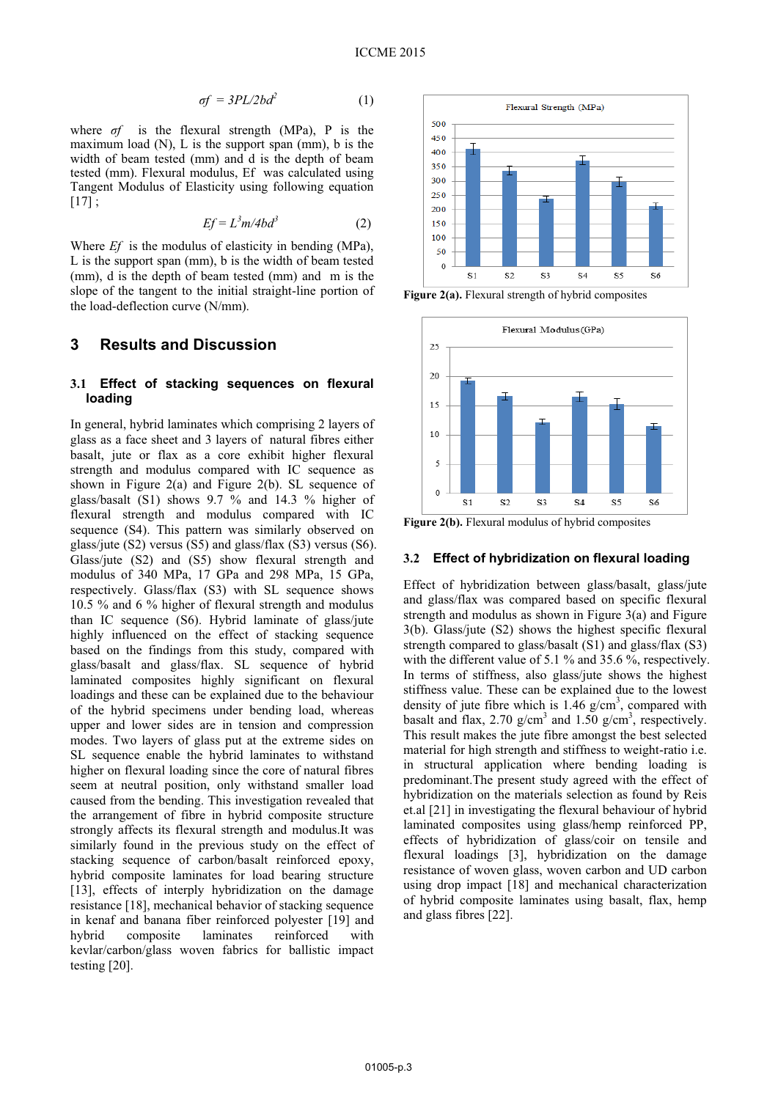$$
\sigma f = \frac{3PL}{2bd^2} \tag{1}
$$

where *σf* is the flexural strength (MPa), P is the maximum load  $(N)$ , L is the support span  $(nm)$ , b is the width of beam tested (mm) and d is the depth of beam tested (mm). Flexural modulus, Ef was calculated using Tangent Modulus of Elasticity using following equation  $[17]$ ;

$$
Ef = L^3 m/4bd^3 \tag{2}
$$

Where *Ef* is the modulus of elasticity in bending (MPa), L is the support span (mm), b is the width of beam tested (mm), d is the depth of beam tested (mm) and m is the slope of the tangent to the initial straight-line portion of the load-deflection curve (N/mm).

## **3 Results and Discussion**

## **3.1 Effect of stacking sequences on flexural loading**

In general, hybrid laminates which comprising 2 layers of glass as a face sheet and 3 layers of natural fibres either basalt, jute or flax as a core exhibit higher flexural strength and modulus compared with IC sequence as shown in Figure 2(a) and Figure 2(b). SL sequence of glass/basalt (S1) shows 9.7 % and 14.3 % higher of flexural strength and modulus compared with IC sequence (S4). This pattern was similarly observed on glass/jute (S2) versus (S5) and glass/flax (S3) versus (S6). Glass/jute (S2) and (S5) show flexural strength and modulus of 340 MPa, 17 GPa and 298 MPa, 15 GPa, respectively. Glass/flax (S3) with SL sequence shows 10.5 % and 6 % higher of flexural strength and modulus than IC sequence (S6). Hybrid laminate of glass/jute highly influenced on the effect of stacking sequence based on the findings from this study, compared with glass/basalt and glass/flax. SL sequence of hybrid laminated composites highly significant on flexural loadings and these can be explained due to the behaviour of the hybrid specimens under bending load, whereas upper and lower sides are in tension and compression modes. Two layers of glass put at the extreme sides on SL sequence enable the hybrid laminates to withstand higher on flexural loading since the core of natural fibres seem at neutral position, only withstand smaller load caused from the bending. This investigation revealed that the arrangement of fibre in hybrid composite structure strongly affects its flexural strength and modulus.It was similarly found in the previous study on the effect of stacking sequence of carbon/basalt reinforced epoxy, hybrid composite laminates for load bearing structure [13], effects of interply hybridization on the damage resistance [18], mechanical behavior of stacking sequence in kenaf and banana fiber reinforced polyester [19] and hybrid composite laminates reinforced with kevlar/carbon/glass woven fabrics for ballistic impact testing [20].



Figure 2(a). Flexural strength of hybrid composites



Figure 2(b). Flexural modulus of hybrid composites

#### **3.2 Effect of hybridization on flexural loading**

Effect of hybridization between glass/basalt, glass/jute and glass/flax was compared based on specific flexural strength and modulus as shown in Figure 3(a) and Figure 3(b). Glass/jute (S2) shows the highest specific flexural strength compared to glass/basalt (S1) and glass/flax (S3) with the different value of 5.1 % and 35.6 %, respectively. In terms of stiffness, also glass/jute shows the highest stiffness value. These can be explained due to the lowest density of jute fibre which is  $1.46$  g/cm<sup>3</sup>, compared with basalt and flax, 2.70  $g/cm<sup>3</sup>$  and 1.50  $g/cm<sup>3</sup>$ , respectively. This result makes the jute fibre amongst the best selected material for high strength and stiffness to weight-ratio i.e. in structural application where bending loading is predominant.The present study agreed with the effect of hybridization on the materials selection as found by Reis et.al [21] in investigating the flexural behaviour of hybrid laminated composites using glass/hemp reinforced PP, effects of hybridization of glass/coir on tensile and flexural loadings [3], hybridization on the damage resistance of woven glass, woven carbon and UD carbon using drop impact [18] and mechanical characterization of hybrid composite laminates using basalt, flax, hemp and glass fibres [22].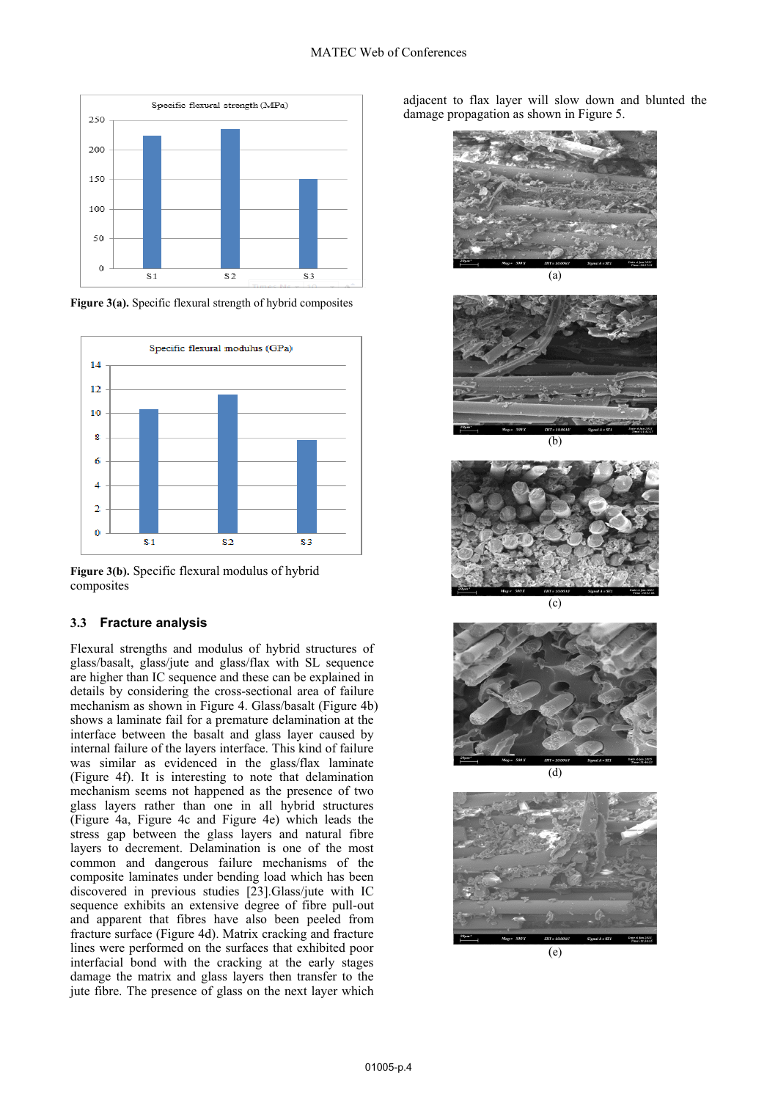

Figure 3(a). Specific flexural strength of hybrid composites



**Figure 3(b).** Specific flexural modulus of hybrid composites

### **3.3 Fracture analysis**

Flexural strengths and modulus of hybrid structures of glass/basalt, glass/jute and glass/flax with SL sequence are higher than IC sequence and these can be explained in details by considering the cross-sectional area of failure mechanism as shown in Figure 4. Glass/basalt (Figure 4b) shows a laminate fail for a premature delamination at the interface between the basalt and glass layer caused by internal failure of the layers interface. This kind of failure was similar as evidenced in the glass/flax laminate (Figure 4f). It is interesting to note that delamination mechanism seems not happened as the presence of two glass layers rather than one in all hybrid structures (Figure 4a, Figure 4c and Figure 4e) which leads the stress gap between the glass layers and natural fibre layers to decrement. Delamination is one of the most common and dangerous failure mechanisms of the composite laminates under bending load which has been discovered in previous studies [23].Glass/jute with IC sequence exhibits an extensive degree of fibre pull-out and apparent that fibres have also been peeled from fracture surface (Figure 4d). Matrix cracking and fracture lines were performed on the surfaces that exhibited poor interfacial bond with the cracking at the early stages damage the matrix and glass layers then transfer to the jute fibre. The presence of glass on the next layer which

adjacent to flax layer will slow down and blunted the damage propagation as shown in Figure 5.













(e)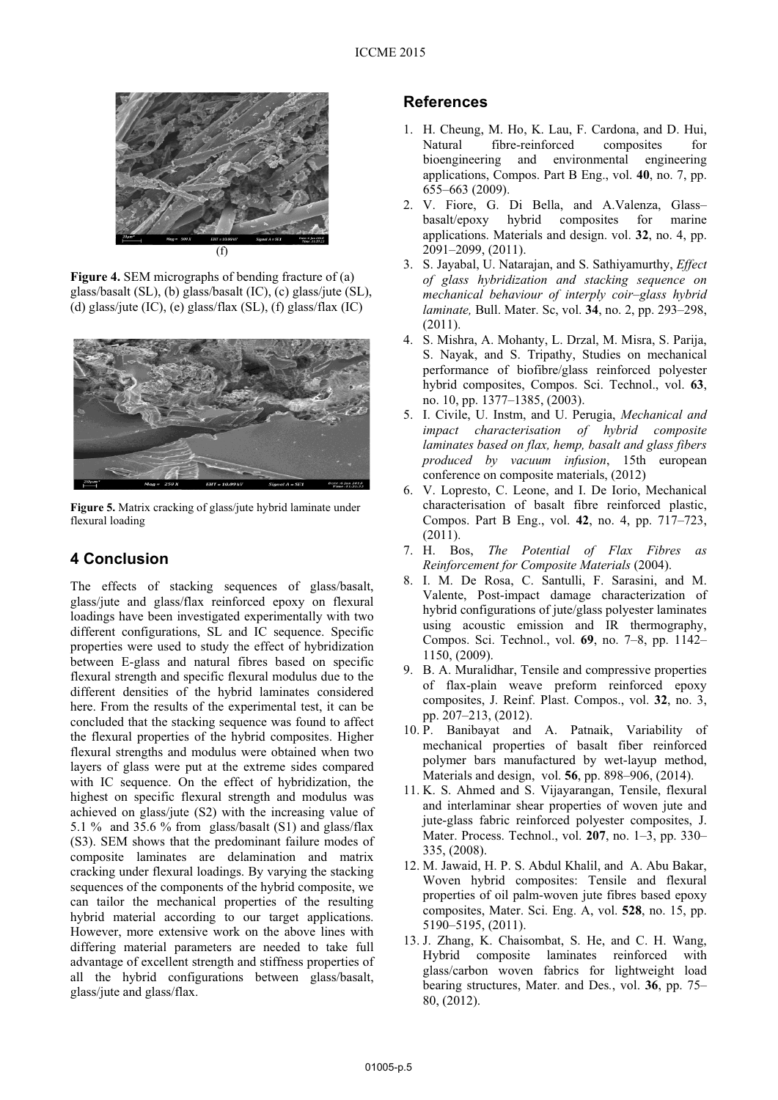

**Figure 4.** SEM micrographs of bending fracture of (a) glass/basalt (SL), (b) glass/basalt (IC), (c) glass/jute (SL), (d) glass/jute (IC), (e) glass/flax (SL), (f) glass/flax (IC)



**Figure 5.** Matrix cracking of glass/jute hybrid laminate under flexural loading

# **4 Conclusion**

The effects of stacking sequences of glass/basalt, glass/jute and glass/flax reinforced epoxy on flexural loadings have been investigated experimentally with two different configurations, SL and IC sequence. Specific properties were used to study the effect of hybridization between E-glass and natural fibres based on specific flexural strength and specific flexural modulus due to the different densities of the hybrid laminates considered here. From the results of the experimental test, it can be concluded that the stacking sequence was found to affect the flexural properties of the hybrid composites. Higher flexural strengths and modulus were obtained when two layers of glass were put at the extreme sides compared with IC sequence. On the effect of hybridization, the highest on specific flexural strength and modulus was achieved on glass/jute (S2) with the increasing value of 5.1 % and 35.6 % from glass/basalt  $(S1)$  and glass/flax (S3). SEM shows that the predominant failure modes of composite laminates are delamination and matrix cracking under flexural loadings. By varying the stacking sequences of the components of the hybrid composite, we can tailor the mechanical properties of the resulting hybrid material according to our target applications. However, more extensive work on the above lines with differing material parameters are needed to take full advantage of excellent strength and stiffness properties of all the hybrid configurations between glass/basalt, glass/jute and glass/flax.

# **References**

- 1. H. Cheung, M. Ho, K. Lau, F. Cardona, and D. Hui, Natural fibre-reinforced composites for bioengineering and environmental engineering applications, Compos. Part B Eng., vol. **40**, no. 7, pp. 655–663 (2009).
- 2. V. Fiore, G. Di Bella, and A.Valenza, Glass– basalt/epoxy hybrid composites for marine applications. Materials and design. vol. **32**, no. 4, pp.  $2091-2099$ ,  $(2011)$ .
- 3. S. Jayabal, U. Natarajan, and S. Sathiyamurthy, *Effect of glass hybridization and stacking sequence on mechanical behaviour of interply coir–glass hybrid laminate,* Bull. Mater. Sc, vol. **34**, no. 2, pp. 293–298, (2011).
- 4. S. Mishra, A. Mohanty, L. Drzal, M. Misra, S. Parija, S. Nayak, and S. Tripathy, Studies on mechanical performance of biofibre/glass reinforced polyester hybrid composites, Compos. Sci. Technol., vol. **63**, no. 10, pp. 1377–1385, (2003).
- 5. I. Civile, U. Instm, and U. Perugia, *Mechanical and impact characterisation of hybrid composite laminates based on flax, hemp, basalt and glass fibers produced by vacuum infusion*, 15th european conference on composite materials, (2012)
- 6. V. Lopresto, C. Leone, and I. De Iorio, Mechanical characterisation of basalt fibre reinforced plastic, Compos. Part B Eng., vol. **42**, no. 4, pp. 717–723, (2011).
- 7. H. Bos, *The Potential of Flax Fibres as Reinforcement for Composite Materials* (2004).
- 8. I. M. De Rosa, C. Santulli, F. Sarasini, and M. Valente, Post-impact damage characterization of hybrid configurations of jute/glass polyester laminates using acoustic emission and IR thermography, Compos. Sci. Technol., vol. **69**, no. 7–8, pp. 1142– 1150, (2009).
- 9. B. A. Muralidhar, Tensile and compressive properties of flax-plain weave preform reinforced epoxy composites, J. Reinf. Plast. Compos., vol. **32**, no. 3, pp. 207–213, (2012).
- 10. P. Banibayat and A. Patnaik, Variability of mechanical properties of basalt fiber reinforced polymer bars manufactured by wet-layup method, Materials and design, vol. **56**, pp. 898–906, (2014).
- 11. K. S. Ahmed and S. Vijayarangan, Tensile, flexural and interlaminar shear properties of woven jute and jute-glass fabric reinforced polyester composites, J. Mater. Process. Technol., vol. **207**, no. 1–3, pp. 330– 335, (2008).
- 12. M. Jawaid, H. P. S. Abdul Khalil, and A. Abu Bakar, Woven hybrid composites: Tensile and flexural properties of oil palm-woven jute fibres based epoxy composites, Mater. Sci. Eng. A, vol. **528**, no. 15, pp. 5190–5195, (2011).
- 13. J. Zhang, K. Chaisombat, S. He, and C. H. Wang, Hybrid composite laminates reinforced with glass/carbon woven fabrics for lightweight load bearing structures, Mater. and Des*.*, vol. **36**, pp. 75– 80, (2012).